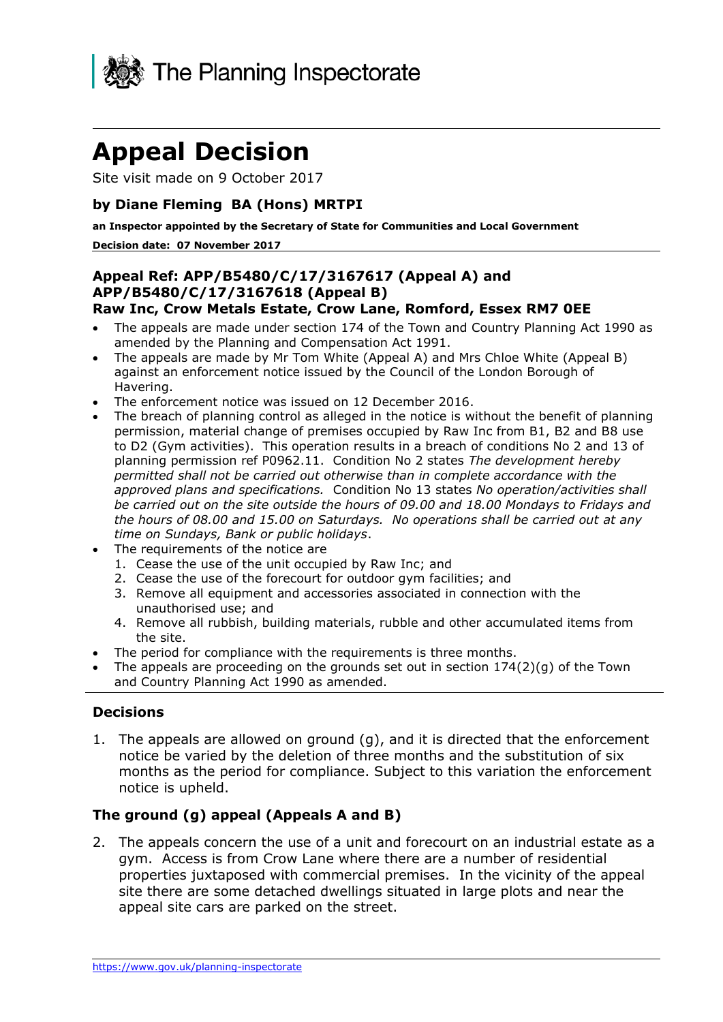

# **Appeal Decision**

Site visit made on 9 October 2017

# **by Diane Fleming BA (Hons) MRTPI**

 **an Inspector appointed by the Secretary of State for Communities and Local Government** 

#### **Decision date: 07 November 2017**

#### **Raw Inc, Crow Metals Estate, Crow Lane, Romford, Essex RM7 0EE Appeal Ref: APP/B5480/C/17/3167617 (Appeal A) and APP/B5480/C/17/3167618 (Appeal B)**

- The appeals are made under section 174 of the Town and Country Planning Act 1990 as amended by the Planning and Compensation Act 1991.
- The appeals are made by Mr Tom White (Appeal A) and Mrs Chloe White (Appeal B) against an enforcement notice issued by the Council of the London Borough of Havering.
- The enforcement notice was issued on 12 December 2016.
- *permitted shall not be carried out otherwise than in complete accordance with the the hours of 08.00 and 15.00 on Saturdays. No operations shall be carried out at any*  The breach of planning control as alleged in the notice is without the benefit of planning permission, material change of premises occupied by Raw Inc from B1, B2 and B8 use to D2 (Gym activities). This operation results in a breach of conditions No 2 and 13 of planning permission ref P0962.11. Condition No 2 states *The development hereby approved plans and specifications.* Condition No 13 states *No operation/activities shall be carried out on the site outside the hours of 09.00 and 18.00 Mondays to Fridays and time on Sundays, Bank or public holidays*.
- The requirements of the notice are
	- 1. Cease the use of the unit occupied by Raw Inc; and
	- 2. Cease the use of the forecourt for outdoor gym facilities; and
	- 3. Remove all equipment and accessories associated in connection with the unauthorised use; and
	- 4. Remove all rubbish, building materials, rubble and other accumulated items from the site.
- The period for compliance with the requirements is three months.
- The appeals are proceeding on the grounds set out in section  $174(2)(q)$  of the Town and Country Planning Act 1990 as amended.

### **Decisions**

 1. The appeals are allowed on ground (g), and it is directed that the enforcement notice be varied by the deletion of three months and the substitution of six months as the period for compliance. Subject to this variation the enforcement notice is upheld.

### **The ground (g) appeal (Appeals A and B)**

 2. The appeals concern the use of a unit and forecourt on an industrial estate as a gym. Access is from Crow Lane where there are a number of residential properties juxtaposed with commercial premises. In the vicinity of the appeal site there are some detached dwellings situated in large plots and near the appeal site cars are parked on the street.<br>https://www.gov.uk/planning-inspectorate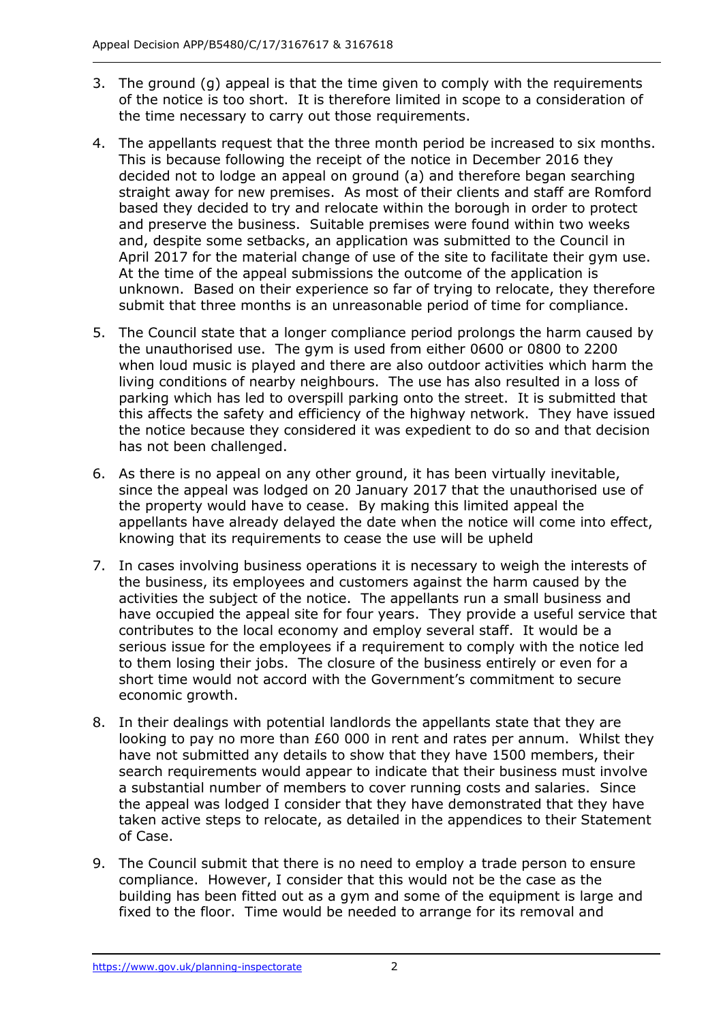- 3. The ground (g) appeal is that the time given to comply with the requirements of the notice is too short. It is therefore limited in scope to a consideration of the time necessary to carry out those requirements.
- 4. The appellants request that the three month period be increased to six months. This is because following the receipt of the notice in December 2016 they decided not to lodge an appeal on ground (a) and therefore began searching straight away for new premises. As most of their clients and staff are Romford based they decided to try and relocate within the borough in order to protect and preserve the business. Suitable premises were found within two weeks April 2017 for the material change of use of the site to facilitate their gym use. unknown. Based on their experience so far of trying to relocate, they therefore submit that three months is an unreasonable period of time for compliance. and, despite some setbacks, an application was submitted to the Council in At the time of the appeal submissions the outcome of the application is
- 5. The Council state that a longer compliance period prolongs the harm caused by the unauthorised use. The gym is used from either 0600 or 0800 to 2200 living conditions of nearby neighbours. The use has also resulted in a loss of parking which has led to overspill parking onto the street. It is submitted that this affects the safety and efficiency of the highway network. They have issued has not been challenged. when loud music is played and there are also outdoor activities which harm the the notice because they considered it was expedient to do so and that decision
- has not been challenged.<br>6. As there is no appeal on any other ground, it has been virtually inevitable, since the appeal was lodged on 20 January 2017 that the unauthorised use of the property would have to cease. By making this limited appeal the knowing that its requirements to cease the use will be upheld appellants have already delayed the date when the notice will come into effect,
- the business, its employees and customers against the harm caused by the activities the subject of the notice. The appellants run a small business and have occupied the appeal site for four years. They provide a useful service that contributes to the local economy and employ several staff. It would be a serious issue for the employees if a requirement to comply with the notice led to them losing their jobs. The closure of the business entirely or even for a short time would not accord with the Government's commitment to secure 7. In cases involving business operations it is necessary to weigh the interests of economic growth.
- looking to pay no more than £60 000 in rent and rates per annum. Whilst they have not submitted any details to show that they have 1500 members, their search requirements would appear to indicate that their business must involve a substantial number of members to cover running costs and salaries. Since the appeal was lodged I consider that they have demonstrated that they have taken active steps to relocate, as detailed in the appendices to their Statement 8. In their dealings with potential landlords the appellants state that they are of Case.
- 9. The Council submit that there is no need to employ a trade person to ensure compliance. However, I consider that this would not be the case as the building has been fitted out as a gym and some of the equipment is large and fixed to the floor. Time would be needed to arrange for its removal and